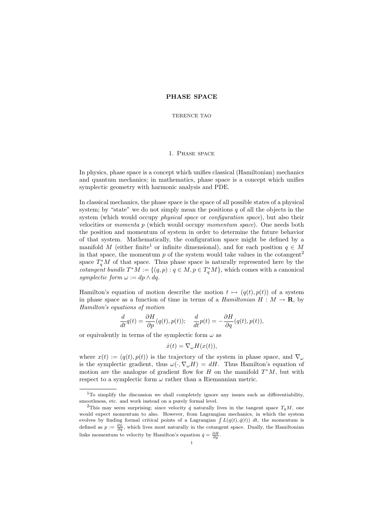## PHASE SPACE

TERENCE TAO

## 1. Phase space

In physics, phase space is a concept which unifies classical (Hamiltonian) mechanics and quantum mechanics; in mathematics, phase space is a concept which unifies symplectic geometry with harmonic analysis and PDE.

In classical mechanics, the phase space is the space of all possible states of a physical system; by "state" we do not simply mean the positions  $q$  of all the objects in the system (which would occupy *physical space* or *configuration space*), but also their velocities or momenta p (which would occupy momentum space). One needs both the position and momentum of system in order to determine the future behavior of that system. Mathematically, the configuration space might be defined by a manifold M (either finite<sup>1</sup> or infinite dimensional), and for each position  $q \in M$ in that space, the momentum  $p$  of the system would take values in the cotangent<sup>2</sup> space  $T_q^*M$  of that space. Thus phase space is naturally represented here by the *cotangent bundle*  $T^*M := \{(q, p) : q \in M, p \in T_q^*M\}$ , which comes with a canonical symplectic form  $\omega := dp \wedge dq$ .

Hamilton's equation of motion describe the motion  $t \mapsto (q(t), p(t))$  of a system in phase space as a function of time in terms of a *Hamiltonian*  $H : M \to \mathbf{R}$ , by Hamilton's equations of motion

$$
\frac{d}{dt}q(t) = \frac{\partial H}{\partial p}(q(t), p(t)); \quad \frac{d}{dt}p(t) = -\frac{\partial H}{\partial q}(q(t), p(t)),
$$

or equivalently in terms of the symplectic form  $\omega$  as

$$
\dot{x}(t) = \nabla_{\omega} H(x(t)),
$$

where  $x(t) := (q(t), p(t))$  is the trajectory of the system in phase space, and  $\nabla_{\omega}$ is the symplectic gradient, thus  $\omega(\cdot, \nabla_{\omega}H) = dH$ . Thus Hamilton's equation of motion are the analogue of gradient flow for  $H$  on the manifold  $T^*M$ , but with respect to a symplectic form  $\omega$  rather than a Riemannian metric.

<sup>1</sup>To simplify the discussion we shall completely ignore any issues such as differentiability, smoothness, etc. and work instead on a purely formal level.

<sup>&</sup>lt;sup>2</sup>This may seem surprising; since velocity  $\dot{q}$  naturally lives in the tangent space  $T_qM$ , one would expect momentum to also. However, from Lagrangian mechanics, in which the system evolves by finding formal critical points of a Lagrangian  $\int L(q(t), \dot{q}(t)) dt$ , the momentum is defined as  $p := \frac{\partial L}{\partial \dot{q}}$ , which lives most naturally in the cotangent space. Dually, the Hamiltonian links momentum to velocity by Hamilton's equation  $\dot{q} = \frac{\partial H}{\partial p}$ .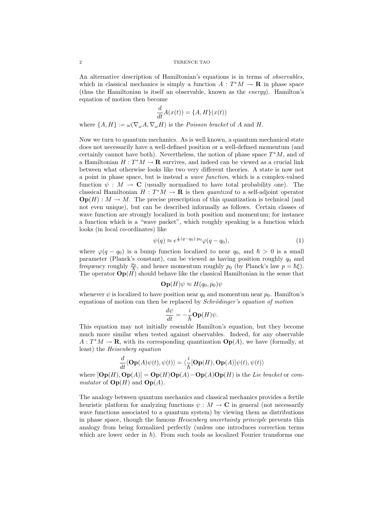An alternative description of Hamiltonian's equations is in terms of observables, which in classical mechanics is simply a function  $A: T^*M \to \mathbf{R}$  in phase space (thus the Hamiltonian is itself an observable, known as the energy). Hamilton's equation of motion then become

$$
\frac{d}{dt}A(x(t)) = \{A, H\}(x(t))
$$

where  $\{A, H\} := \omega(\nabla_{\omega}A, \nabla_{\omega}H)$  is the *Poisson bracket* of A and H.

Now we turn to quantum mechanics. As is well known, a quantum mechanical state does not necessarily have a well-defined position or a well-defined momentum (and certainly cannot have both). Nevertheless, the notion of phase space  $T^*M$ , and of a Hamiltonian  $H: T^*M \to \mathbf{R}$  survives, and indeed can be viewed as a crucial link between what otherwise looks like two very different theories. A state is now not a point in phase space, but is instead a wave function, which is a complex-valued function  $\psi : M \to \mathbf{C}$  (usually normalized to have total probability one). The classical Hamiltonian  $H: T^*M \to \mathbf{R}$  is then *quantized* to a self-adjoint operator  $\mathbf{Op}(H): M \to M$ . The precise prescription of this quantization is technical (and not even unique), but can be described informally as follows. Certain classes of wave function are strongly localized in both position and momentum; for instance a function which is a "wave packet", which roughly speaking is a function which looks (in local co-ordinates) like

$$
\psi(q) \approx e^{\frac{i}{\hbar}(q-q_0)\cdot p_0}\varphi(q-q_0),\tag{1}
$$

where  $\varphi(q - q_0)$  is a bump function localized to near  $q_0$ , and  $\hbar > 0$  is a small parameter (Planck's constant), can be viewed as having position roughly  $q_0$  and frequency roughly  $\frac{p_0}{\hbar}$ , and hence momentum roughly  $p_0$  (by Planck's law  $p = \hbar \xi$ ). The operator  $\mathbf{Op}(H)$  should behave like the classical Hamiltonian in the sense that

$$
\mathbf{Op}(H)\psi \approx H(q_0, p_0)\psi
$$

whenever  $\psi$  is localized to have position near  $q_0$  and momentum near  $p_0$ . Hamilton's equations of motion can then be replaced by *Schrödinger's equation of motion* 

$$
\frac{d\psi}{dt} = -\frac{i}{\hbar} \mathbf{Op}(H)\psi.
$$

This equation may not initially resemble Hamilton's equation, but they become much more similar when tested against observables. Indeed, for any observable  $A: T^*M \to \mathbf{R}$ , with its corresponding quantization  $\mathbf{Op}(A)$ , we have (formally, at least) the Heisenberg equation

$$
\frac{d}{dt}\langle \mathbf{Op}(A)\psi(t),\psi(t)\rangle = \langle \frac{i}{\hbar}[\mathbf{Op}(H),\mathbf{Op}(A)]\psi(t),\psi(t)\rangle
$$

where  $[Op(H), Op(A)] = Op(H)Op(A) - Op(A)Op(H)$  is the Lie bracket or commutator of  $\text{Op}(H)$  and  $\text{Op}(A)$ .

The analogy between quantum mechanics and classical mechanics provides a fertile heuristic platform for analyzing functions  $\psi : M \to \mathbf{C}$  in general (not necessarily wave functions associated to a quantum system) by viewing them as distributions in phase space, though the famous Heisenberg uncertainty principle prevents this analogy from being formalized perfectly (unless one introduces correction terms which are lower order in  $\hbar$ ). From such tools as localized Fourier transforms one